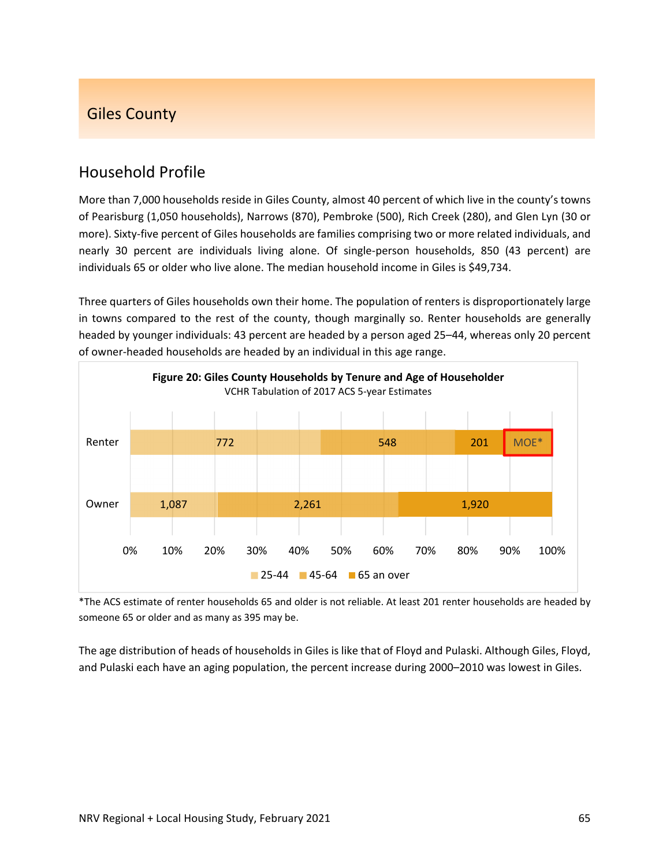# Giles County

# Household Profile

More than 7,000 households reside in Giles County, almost 40 percent of which live in the county's towns of Pearisburg (1,050 households), Narrows (870), Pembroke (500), Rich Creek (280), and Glen Lyn (30 or more). Sixty-five percent of Giles households are families comprising two or more related individuals, and nearly 30 percent are individuals living alone. Of single‐person households, 850 (43 percent) are individuals 65 or older who live alone. The median household income in Giles is \$49,734.

Three quarters of Giles households own their home. The population of renters is disproportionately large in towns compared to the rest of the county, though marginally so. Renter households are generally headed by younger individuals: 43 percent are headed by a person aged 25–44, whereas only 20 percent of owner‐headed households are headed by an individual in this age range.



\*The ACS estimate of renter households 65 and older is not reliable. At least 201 renter households are headed by someone 65 or older and as many as 395 may be.

The age distribution of heads of households in Giles is like that of Floyd and Pulaski. Although Giles, Floyd, and Pulaski each have an aging population, the percent increase during 2000–2010 was lowest in Giles.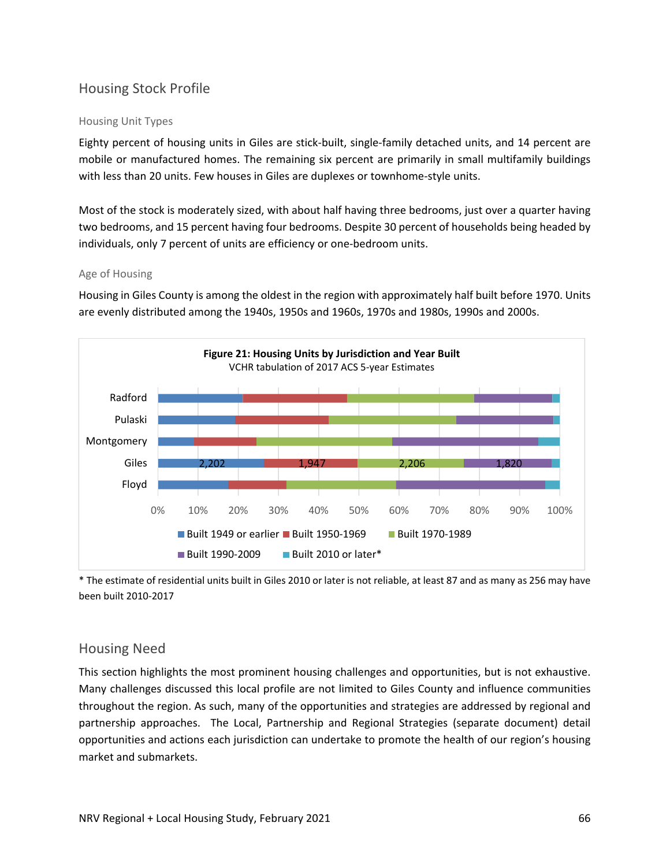## Housing Stock Profile

#### Housing Unit Types

Eighty percent of housing units in Giles are stick‐built, single‐family detached units, and 14 percent are mobile or manufactured homes. The remaining six percent are primarily in small multifamily buildings with less than 20 units. Few houses in Giles are duplexes or townhome‐style units.

Most of the stock is moderately sized, with about half having three bedrooms, just over a quarter having two bedrooms, and 15 percent having four bedrooms. Despite 30 percent of households being headed by individuals, only 7 percent of units are efficiency or one‐bedroom units.

#### Age of Housing

Housing in Giles County is among the oldest in the region with approximately half built before 1970. Units are evenly distributed among the 1940s, 1950s and 1960s, 1970s and 1980s, 1990s and 2000s.



\* The estimate of residential units built in Giles 2010 or later is not reliable, at least 87 and as many as 256 may have been built 2010‐2017

### Housing Need

This section highlights the most prominent housing challenges and opportunities, but is not exhaustive. Many challenges discussed this local profile are not limited to Giles County and influence communities throughout the region. As such, many of the opportunities and strategies are addressed by regional and partnership approaches. The Local, Partnership and Regional Strategies (separate document) detail opportunities and actions each jurisdiction can undertake to promote the health of our region's housing market and submarkets.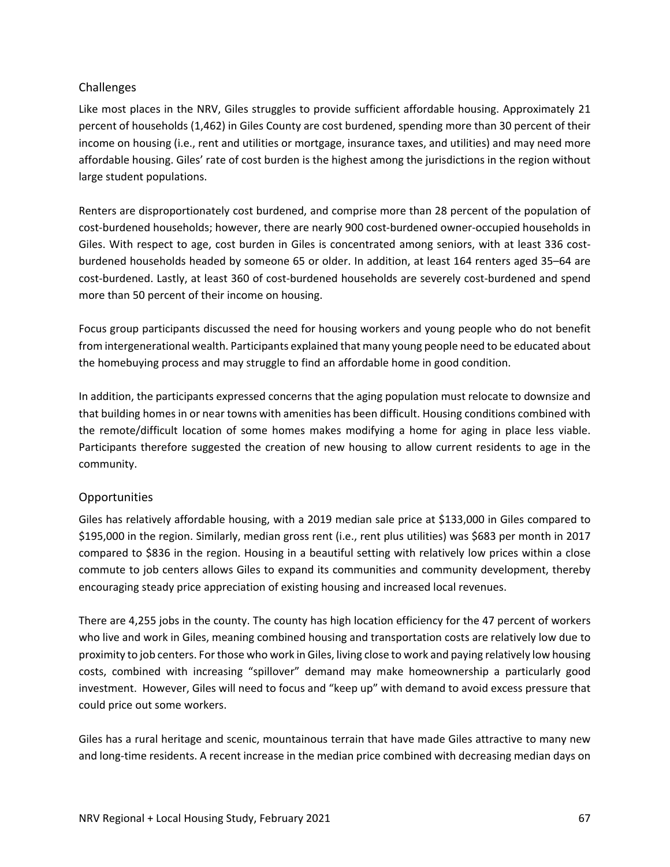## Challenges

Like most places in the NRV, Giles struggles to provide sufficient affordable housing. Approximately 21 percent of households (1,462) in Giles County are cost burdened, spending more than 30 percent of their income on housing (i.e., rent and utilities or mortgage, insurance taxes, and utilities) and may need more affordable housing. Giles' rate of cost burden is the highest among the jurisdictions in the region without large student populations.

Renters are disproportionately cost burdened, and comprise more than 28 percent of the population of cost-burdened households; however, there are nearly 900 cost-burdened owner-occupied households in Giles. With respect to age, cost burden in Giles is concentrated among seniors, with at least 336 costburdened households headed by someone 65 or older. In addition, at least 164 renters aged 35–64 are cost-burdened. Lastly, at least 360 of cost-burdened households are severely cost-burdened and spend more than 50 percent of their income on housing.

Focus group participants discussed the need for housing workers and young people who do not benefit from intergenerational wealth. Participants explained that many young people need to be educated about the homebuying process and may struggle to find an affordable home in good condition.

In addition, the participants expressed concerns that the aging population must relocate to downsize and that building homes in or near towns with amenities has been difficult. Housing conditions combined with the remote/difficult location of some homes makes modifying a home for aging in place less viable. Participants therefore suggested the creation of new housing to allow current residents to age in the community.

### Opportunities

Giles has relatively affordable housing, with a 2019 median sale price at \$133,000 in Giles compared to \$195,000 in the region. Similarly, median gross rent (i.e., rent plus utilities) was \$683 per month in 2017 compared to \$836 in the region. Housing in a beautiful setting with relatively low prices within a close commute to job centers allows Giles to expand its communities and community development, thereby encouraging steady price appreciation of existing housing and increased local revenues.

There are 4,255 jobs in the county. The county has high location efficiency for the 47 percent of workers who live and work in Giles, meaning combined housing and transportation costs are relatively low due to proximity to job centers. Forthose who work in Giles, living close to work and paying relatively low housing costs, combined with increasing "spillover" demand may make homeownership a particularly good investment. However, Giles will need to focus and "keep up" with demand to avoid excess pressure that could price out some workers.

Giles has a rural heritage and scenic, mountainous terrain that have made Giles attractive to many new and long-time residents. A recent increase in the median price combined with decreasing median days on